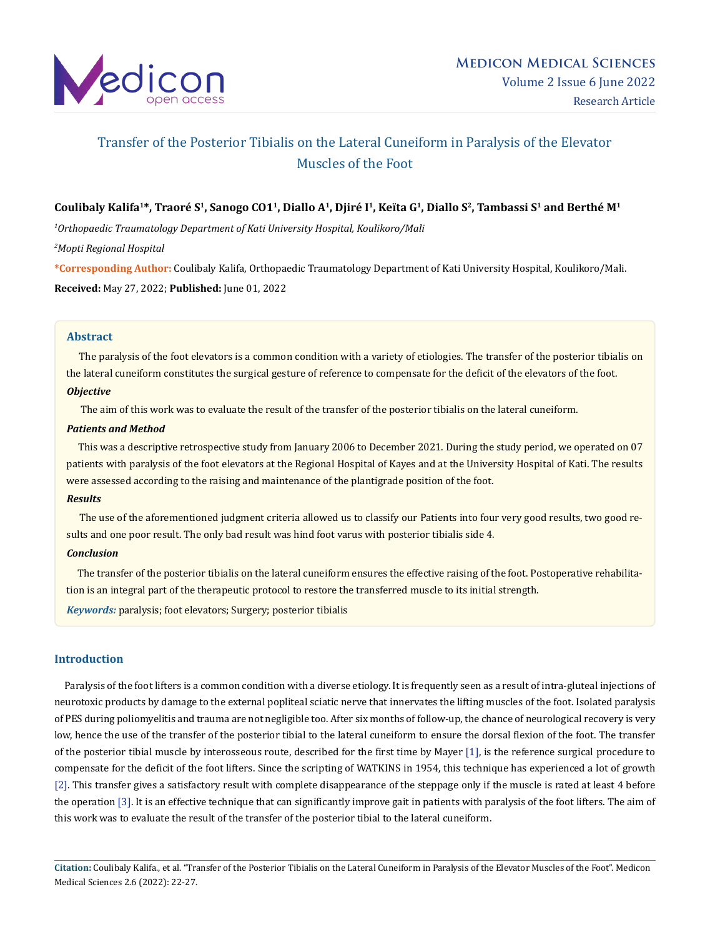

# Transfer of the Posterior Tibialis on the Lateral Cuneiform in Paralysis of the Elevator Muscles of the Foot

# Coulibaly Kalifa<sup>1\*</sup>, Traoré S<sup>1</sup>, Sanogo CO1<sup>1</sup>, Diallo A<sup>1</sup>, Djiré I<sup>1</sup>, Keïta G<sup>1</sup>, Diallo S<sup>2</sup>, Tambassi S<sup>1</sup> and Berthé M<sup>1</sup>

*1 Orthopaedic Traumatology Department of Kati University Hospital, Koulikoro/Mali*

*2 Mopti Regional Hospital*

**\*Corresponding Author:** Coulibaly Kalifa, Orthopaedic Traumatology Department of Kati University Hospital, Koulikoro/Mali. **Received:** May 27, 2022; **Published:** June 01, 2022

#### **Abstract**

 The paralysis of the foot elevators is a common condition with a variety of etiologies. The transfer of the posterior tibialis on the lateral cuneiform constitutes the surgical gesture of reference to compensate for the deficit of the elevators of the foot. *Objective*

The aim of this work was to evaluate the result of the transfer of the posterior tibialis on the lateral cuneiform.

#### *Patients and Method*

 This was a descriptive retrospective study from January 2006 to December 2021. During the study period, we operated on 07 patients with paralysis of the foot elevators at the Regional Hospital of Kayes and at the University Hospital of Kati. The results were assessed according to the raising and maintenance of the plantigrade position of the foot.

#### *Results*

 The use of the aforementioned judgment criteria allowed us to classify our Patients into four very good results, two good results and one poor result. The only bad result was hind foot varus with posterior tibialis side 4.

## *Conclusion*

 The transfer of the posterior tibialis on the lateral cuneiform ensures the effective raising of the foot. Postoperative rehabilitation is an integral part of the therapeutic protocol to restore the transferred muscle to its initial strength. *Keywords:* paralysis; foot elevators; Surgery; posterior tibialis

#### **Introduction**

 Paralysis of the foot lifters is a common condition with a diverse etiology. It is frequently seen as a result of intra-gluteal injections of neurotoxic products by damage to the external popliteal sciatic nerve that innervates the lifting muscles of the foot. Isolated paralysis of PES during poliomyelitis and trauma are not negligible too. After six months of follow-up, the chance of neurological recovery is very low, hence the use of the transfer of the posterior tibial to the lateral cuneiform to ensure the dorsal flexion of the foot. The transfer of the posterior tibial muscle by interosseous route, described for the first time by Mayer [1], is the reference surgical procedure to compensate for the deficit of the foot lifters. Since the scripting of WATKINS in 1954, this technique has experienced a lot of growth [2]. This transfer gives a satisfactory result with complete disappearance of the steppage only if the muscle is rated at least 4 before the operation [3]. It is an effective technique that can significantly improve gait in patients with paralysis of the foot lifters. The aim of this work was to evaluate the result of the transfer of the posterior tibial to the lateral cuneiform.

**Citation:** Coulibaly Kalifa., et al. "Transfer of the Posterior Tibialis on the Lateral Cuneiform in Paralysis of the Elevator Muscles of the Foot". Medicon Medical Sciences 2.6 (2022): 22-27.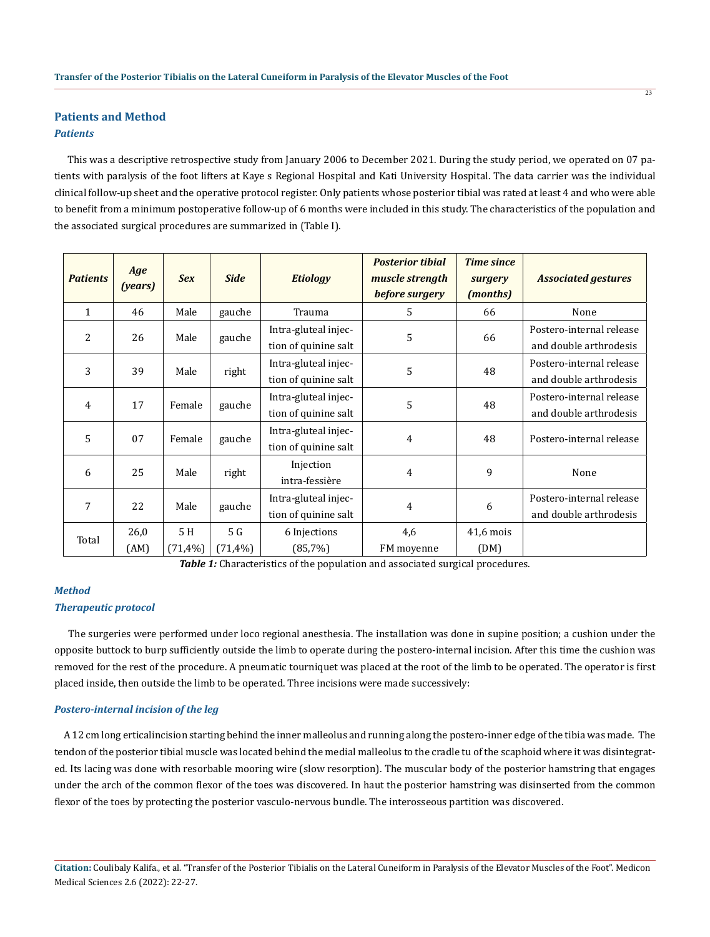# **Patients and Method**

# *Patients*

 This was a descriptive retrospective study from January 2006 to December 2021. During the study period, we operated on 07 patients with paralysis of the foot lifters at Kaye s Regional Hospital and Kati University Hospital. The data carrier was the individual clinical follow-up sheet and the operative protocol register. Only patients whose posterior tibial was rated at least 4 and who were able to benefit from a minimum postoperative follow-up of 6 months were included in this study. The characteristics of the population and the associated surgical procedures are summarized in (Table I).

| <b>Patients</b> | Age<br>(years) | <b>Sex</b> | <b>Side</b>    | <b>Etiology</b>                              | <b>Posterior tibial</b><br>muscle strength<br>before surgery | <b>Time since</b><br>surgery<br>(months) | <b>Associated gestures</b>                         |
|-----------------|----------------|------------|----------------|----------------------------------------------|--------------------------------------------------------------|------------------------------------------|----------------------------------------------------|
| $\mathbf{1}$    | 46             | Male       | gauche         | Trauma                                       | 5                                                            | 66                                       | None                                               |
| $\overline{2}$  | 26             | Male       | gauche         | Intra-gluteal injec-<br>tion of quinine salt | 5                                                            | 66                                       | Postero-internal release<br>and double arthrodesis |
| 3               | 39             | Male       | right          | Intra-gluteal injec-<br>tion of quinine salt | 5                                                            | 48                                       | Postero-internal release<br>and double arthrodesis |
| 4               | 17             | Female     | gauche         | Intra-gluteal injec-<br>tion of quinine salt | 5                                                            | 48                                       | Postero-internal release<br>and double arthrodesis |
| 5               | 07             | Female     | gauche         | Intra-gluteal injec-<br>tion of quinine salt | 4                                                            | 48                                       | Postero-internal release                           |
| 6               | 25             | Male       | right          | Injection<br>intra-fessière                  | $\overline{4}$                                               | 9                                        | None                                               |
| 7               | 22             | Male       | gauche         | Intra-gluteal injec-<br>tion of quinine salt | 4                                                            | 6                                        | Postero-internal release<br>and double arthrodesis |
| Total           | 26,0           | 5H         | 5 <sub>G</sub> | 6 Injections                                 | 4,6                                                          | $41,6$ mois                              |                                                    |
|                 | (AM)           | (71,4%     | $(71, 4\%)$    | (85,7%)                                      | FM moyenne                                                   | (DM)                                     |                                                    |

**Table 1:** Characteristics of the population and associated surgical procedures.

#### *Method*

#### *Therapeutic protocol*

 The surgeries were performed under loco regional anesthesia. The installation was done in supine position; a cushion under the opposite buttock to burp sufficiently outside the limb to operate during the postero-internal incision. After this time the cushion was removed for the rest of the procedure. A pneumatic tourniquet was placed at the root of the limb to be operated. The operator is first placed inside, then outside the limb to be operated. Three incisions were made successively:

### *Postero-internal incision of the leg*

 A 12 cm long erticalincision starting behind the inner malleolus and running along the postero-inner edge of the tibia was made. The tendon of the posterior tibial muscle was located behind the medial malleolus to the cradle tu of the scaphoid where it was disintegrated. Its lacing was done with resorbable mooring wire (slow resorption). The muscular body of the posterior hamstring that engages under the arch of the common flexor of the toes was discovered. In haut the posterior hamstring was disinserted from the common flexor of the toes by protecting the posterior vasculo-nervous bundle. The interosseous partition was discovered.

**Citation:** Coulibaly Kalifa., et al. "Transfer of the Posterior Tibialis on the Lateral Cuneiform in Paralysis of the Elevator Muscles of the Foot". Medicon Medical Sciences 2.6 (2022): 22-27.

 $\overline{23}$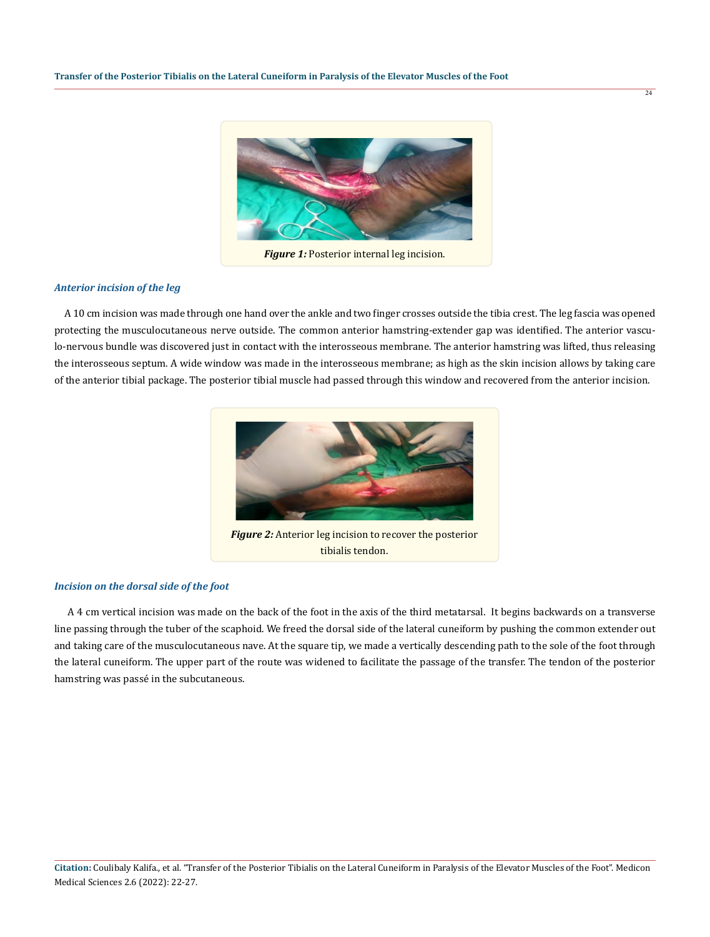

*Figure 1:* Posterior internal leg incision.

#### *Anterior incision of the leg*

 A 10 cm incision was made through one hand over the ankle and two finger crosses outside the tibia crest. The leg fascia was opened protecting the musculocutaneous nerve outside. The common anterior hamstring-extender gap was identified. The anterior vasculo-nervous bundle was discovered just in contact with the interosseous membrane. The anterior hamstring was lifted, thus releasing the interosseous septum. A wide window was made in the interosseous membrane; as high as the skin incision allows by taking care of the anterior tibial package. The posterior tibial muscle had passed through this window and recovered from the anterior incision.



*Figure 2:* Anterior leg incision to recover the posterior tibialis tendon.

#### *Incision on the dorsal side of the foot*

 A 4 cm vertical incision was made on the back of the foot in the axis of the third metatarsal. It begins backwards on a transverse line passing through the tuber of the scaphoid. We freed the dorsal side of the lateral cuneiform by pushing the common extender out and taking care of the musculocutaneous nave. At the square tip, we made a vertically descending path to the sole of the foot through the lateral cuneiform. The upper part of the route was widened to facilitate the passage of the transfer. The tendon of the posterior hamstring was passé in the subcutaneous.

 $\overline{24}$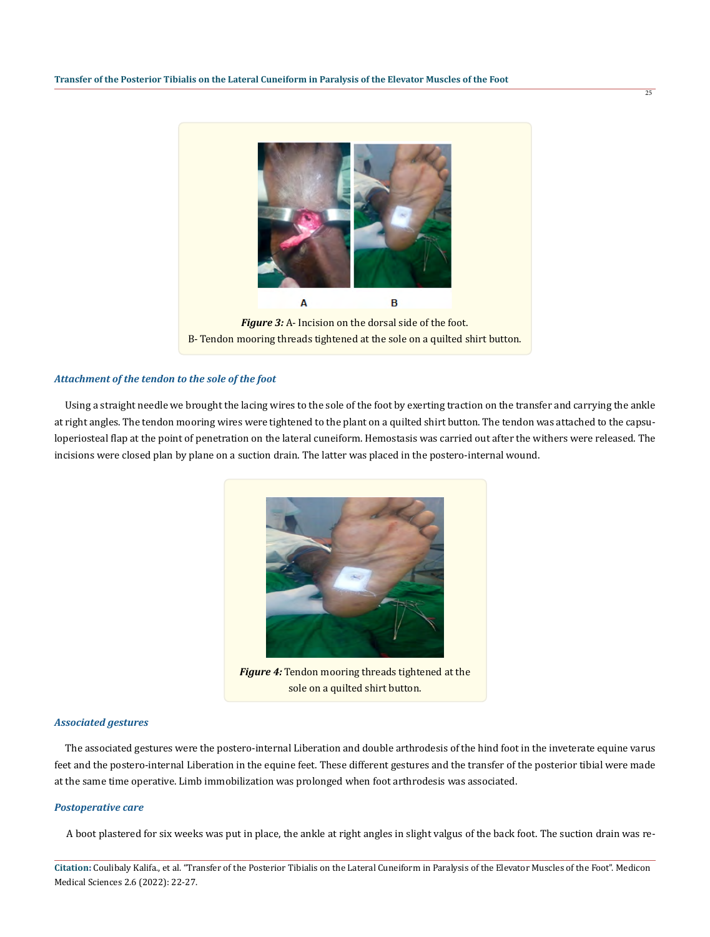

#### *Attachment of the tendon to the sole of the foot*

 Using a straight needle we brought the lacing wires to the sole of the foot by exerting traction on the transfer and carrying the ankle at right angles. The tendon mooring wires were tightened to the plant on a quilted shirt button. The tendon was attached to the capsuloperiosteal flap at the point of penetration on the lateral cuneiform. Hemostasis was carried out after the withers were released. The incisions were closed plan by plane on a suction drain. The latter was placed in the postero-internal wound.



*Figure 4:* Tendon mooring threads tightened at the sole on a quilted shirt button.

#### *Associated gestures*

 The associated gestures were the postero-internal Liberation and double arthrodesis of the hind foot in the inveterate equine varus feet and the postero-internal Liberation in the equine feet. These different gestures and the transfer of the posterior tibial were made at the same time operative. Limb immobilization was prolonged when foot arthrodesis was associated.

#### *Postoperative care*

A boot plastered for six weeks was put in place, the ankle at right angles in slight valgus of the back foot. The suction drain was re-

**Citation:** Coulibaly Kalifa., et al. "Transfer of the Posterior Tibialis on the Lateral Cuneiform in Paralysis of the Elevator Muscles of the Foot". Medicon Medical Sciences 2.6 (2022): 22-27.

 $75$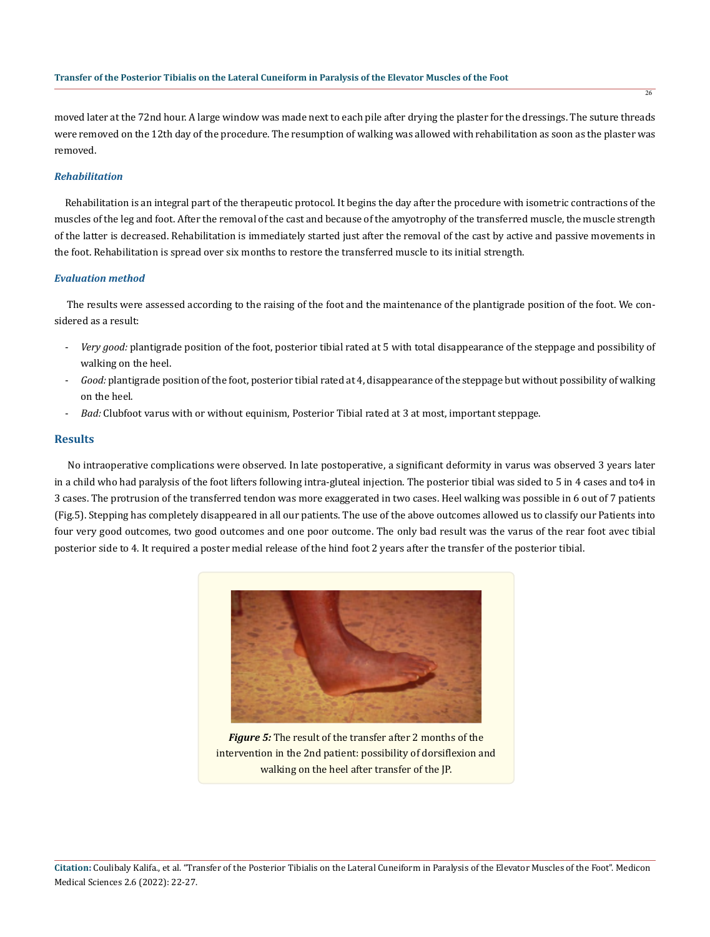moved later at the 72nd hour. A large window was made next to each pile after drying the plaster for the dressings. The suture threads were removed on the 12th day of the procedure. The resumption of walking was allowed with rehabilitation as soon as the plaster was removed.

# *Rehabilitation*

 Rehabilitation is an integral part of the therapeutic protocol. It begins the day after the procedure with isometric contractions of the muscles of the leg and foot. After the removal of the cast and because of the amyotrophy of the transferred muscle, the muscle strength of the latter is decreased. Rehabilitation is immediately started just after the removal of the cast by active and passive movements in the foot. Rehabilitation is spread over six months to restore the transferred muscle to its initial strength.

#### *Evaluation method*

 The results were assessed according to the raising of the foot and the maintenance of the plantigrade position of the foot. We considered as a result:

- *Very good:* plantigrade position of the foot, posterior tibial rated at 5 with total disappearance of the steppage and possibility of walking on the heel.
- *Good:* plantigrade position of the foot, posterior tibial rated at 4, disappearance of the steppage but without possibility of walking on the heel.
- *Bad:* Clubfoot varus with or without equinism, Posterior Tibial rated at 3 at most, important steppage.

### **Results**

 No intraoperative complications were observed. In late postoperative, a significant deformity in varus was observed 3 years later in a child who had paralysis of the foot lifters following intra-gluteal injection. The posterior tibial was sided to 5 in 4 cases and to4 in 3 cases. The protrusion of the transferred tendon was more exaggerated in two cases. Heel walking was possible in 6 out of 7 patients (Fig.5). Stepping has completely disappeared in all our patients. The use of the above outcomes allowed us to classify our Patients into four very good outcomes, two good outcomes and one poor outcome. The only bad result was the varus of the rear foot avec tibial posterior side to 4. It required a poster medial release of the hind foot 2 years after the transfer of the posterior tibial.



*Figure 5:* The result of the transfer after 2 months of the intervention in the 2nd patient: possibility of dorsiflexion and walking on the heel after transfer of the JP.

26